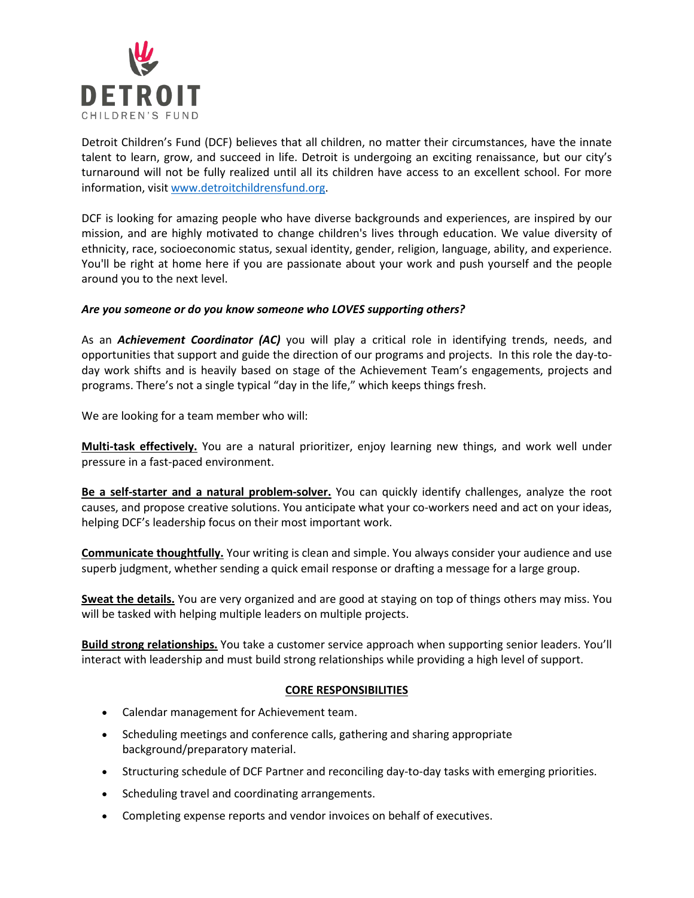

Detroit Children's Fund (DCF) believes that all children, no matter their circumstances, have the innate talent to learn, grow, and succeed in life. Detroit is undergoing an exciting renaissance, but our city's turnaround will not be fully realized until all its children have access to an excellent school. For more information, visit [www.detroitchildrensfund.org.](http://www.detroitchildrensfund.org/)

DCF is looking for amazing people who have diverse backgrounds and experiences, are inspired by our mission, and are highly motivated to change children's lives through education. We value diversity of ethnicity, race, socioeconomic status, sexual identity, gender, religion, language, ability, and experience. You'll be right at home here if you are passionate about your work and push yourself and the people around you to the next level.

## *Are you someone or do you know someone who LOVES supporting others?*

As an *Achievement Coordinator (AC)* you will play a critical role in identifying trends, needs, and opportunities that support and guide the direction of our programs and projects. In this role the day-today work shifts and is heavily based on stage of the Achievement Team's engagements, projects and programs. There's not a single typical "day in the life," which keeps things fresh.

We are looking for a team member who will:

**Multi-task effectively.** You are a natural prioritizer, enjoy learning new things, and work well under pressure in a fast-paced environment.

**Be a self-starter and a natural problem-solver.** You can quickly identify challenges, analyze the root causes, and propose creative solutions. You anticipate what your co-workers need and act on your ideas, helping DCF's leadership focus on their most important work.

**Communicate thoughtfully.** Your writing is clean and simple. You always consider your audience and use superb judgment, whether sending a quick email response or drafting a message for a large group.

**Sweat the details.** You are very organized and are good at staying on top of things others may miss. You will be tasked with helping multiple leaders on multiple projects.

**Build strong relationships.** You take a customer service approach when supporting senior leaders. You'll interact with leadership and must build strong relationships while providing a high level of support.

## **CORE RESPONSIBILITIES**

- Calendar management for Achievement team.
- Scheduling meetings and conference calls, gathering and sharing appropriate background/preparatory material.
- Structuring schedule of DCF Partner and reconciling day-to-day tasks with emerging priorities.
- Scheduling travel and coordinating arrangements.
- Completing expense reports and vendor invoices on behalf of executives.